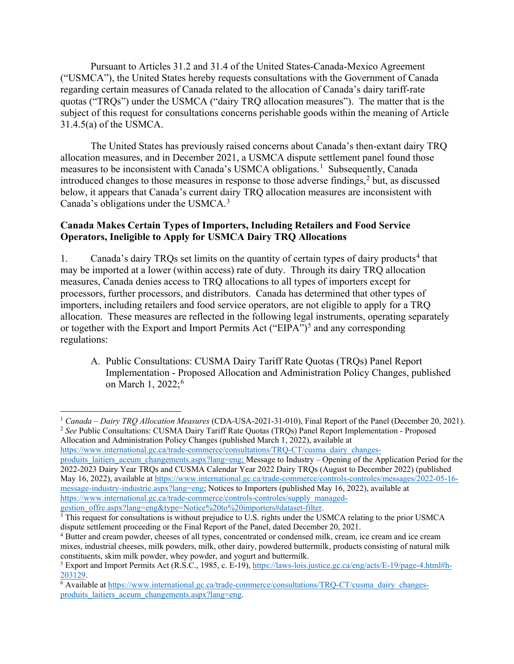Pursuant to Articles 31.2 and 31.4 of the United States-Canada-Mexico Agreement ("USMCA"), the United States hereby requests consultations with the Government of Canada regarding certain measures of Canada related to the allocation of Canada's dairy tariff-rate quotas ("TRQs") under the USMCA ("dairy TRQ allocation measures"). The matter that is the subject of this request for consultations concerns perishable goods within the meaning of Article 31.4.5(a) of the USMCA.

The United States has previously raised concerns about Canada's then-extant dairy TRQ allocation measures, and in December 2021, a USMCA dispute settlement panel found those measures to be inconsistent with Canada's USMCA obligations.<sup>[1](#page-0-0)</sup> Subsequently, Canada introduced changes to those measures in response to those adverse findings,  $2$  but, as discussed below, it appears that Canada's current dairy TRQ allocation measures are inconsistent with Canada's obligations under the USMCA.<sup>[3](#page-0-2)</sup>

## **Canada Makes Certain Types of Importers, Including Retailers and Food Service Operators, Ineligible to Apply for USMCA Dairy TRQ Allocations**

1. Canada's dairy TRQs set limits on the quantity of certain types of dairy products<sup>[4](#page-0-3)</sup> that may be imported at a lower (within access) rate of duty. Through its dairy TRQ allocation measures, Canada denies access to TRQ allocations to all types of importers except for processors, further processors, and distributors. Canada has determined that other types of importers, including retailers and food service operators, are not eligible to apply for a TRQ allocation. These measures are reflected in the following legal instruments, operating separately or together with the Export and Import Permits Act ("EIPA")<sup>[5](#page-0-4)</sup> and any corresponding regulations:

A. Public Consultations: CUSMA Dairy Tariff Rate Quotas (TRQs) Panel Report Implementation - Proposed Allocation and Administration Policy Changes, published on March 1, 2022; [6](#page-0-5)

Allocation and Administration Policy Changes (published March 1, 2022), available at https://www.international.gc.ca/trade-commerce/consultations/TRO-CT/cusma\_dairy\_changes-

produits laitiers aceum changements.aspx?lang=eng; Message to Industry – Opening of the Application Period for the 2022-2023 Dairy Year TRQs and CUSMA Calendar Year 2022 Dairy TRQs (August to December 2022) (published May 16, 2022), available at [https://www.international.gc.ca/trade-commerce/controls-controles/messages/2022-05-16](https://www.international.gc.ca/trade-commerce/controls-controles/messages/2022-05-16-message-industry-industrie.aspx?lang=eng) [message-industry-industrie.aspx?lang=eng;](https://www.international.gc.ca/trade-commerce/controls-controles/messages/2022-05-16-message-industry-industrie.aspx?lang=eng) Notices to Importers (published May 16, 2022), available at [https://www.international.gc.ca/trade-commerce/controls-controles/supply\\_managed](https://www.international.gc.ca/trade-commerce/controls-controles/supply_managed-gestion_offre.aspx?lang=eng&type=Notice%20to%20importers#dataset-filter)[gestion\\_offre.aspx?lang=eng&type=Notice%20to%20importers#dataset-filter.](https://www.international.gc.ca/trade-commerce/controls-controles/supply_managed-gestion_offre.aspx?lang=eng&type=Notice%20to%20importers#dataset-filter)

<span id="page-0-1"></span><span id="page-0-0"></span> <sup>1</sup> *Canada – Dairy TRQ Allocation Measures* (CDA-USA-2021-31-010), Final Report of the Panel (December 20, 2021). <sup>2</sup> *See* Public Consultations: CUSMA Dairy Tariff Rate Quotas (TRQs) Panel Report Implementation - Proposed

<span id="page-0-2"></span> $\frac{3}{3}$  This request for consultations is without prejudice to U.S. rights under the USMCA relating to the prior USMCA dispute settlement proceeding or the Final Report of the Panel, dated December 20, 2021.

<span id="page-0-3"></span><sup>4</sup> Butter and cream powder, cheeses of all types, concentrated or condensed milk, cream, ice cream and ice cream mixes, industrial cheeses, milk powders, milk, other dairy, powdered buttermilk, products consisting of natural milk constituents, skim milk powder, whey powder, and yogurt and buttermilk.

<span id="page-0-4"></span><sup>5</sup> Export and Import Permits Act (R.S.C., 1985, c. E-19), [https://laws-lois.justice.gc.ca/eng/acts/E-19/page-4.html#h-](https://laws-lois.justice.gc.ca/eng/acts/E-19/page-4.html#h-203129)[203129.](https://laws-lois.justice.gc.ca/eng/acts/E-19/page-4.html#h-203129)

<span id="page-0-5"></span><sup>&</sup>lt;sup>6</sup> Available at [https://www.international.gc.ca/trade-commerce/consultations/TRQ-CT/cusma\\_dairy\\_changes](https://www.international.gc.ca/trade-commerce/consultations/TRQ-CT/cusma_dairy_changes-produits_laitiers_aceum_changements.aspx?lang=eng)[produits\\_laitiers\\_aceum\\_changements.aspx?lang=eng.](https://www.international.gc.ca/trade-commerce/consultations/TRQ-CT/cusma_dairy_changes-produits_laitiers_aceum_changements.aspx?lang=eng)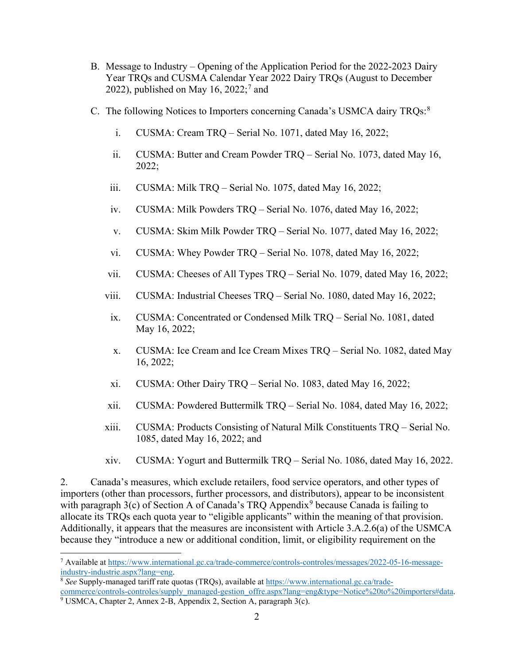- B. Message to Industry Opening of the Application Period for the 2022-2023 Dairy Year TRQs and CUSMA Calendar Year 2022 Dairy TRQs (August to December 2022), published on May 16, 2022;<sup>[7](#page-1-0)</sup> and
- C. The following Notices to Importers concerning Canada's USMCA dairy TRQs:[8](#page-1-1)
	- i. CUSMA: Cream TRQ Serial No. 1071, dated May 16, 2022;
	- ii. CUSMA: Butter and Cream Powder TRQ Serial No. 1073, dated May 16, 2022;
	- iii. CUSMA: Milk TRQ Serial No. 1075, dated May 16, 2022;
	- iv. CUSMA: Milk Powders TRQ Serial No. 1076, dated May 16, 2022;
	- v. CUSMA: Skim Milk Powder TRQ Serial No. 1077, dated May 16, 2022;
	- vi. CUSMA: Whey Powder TRQ Serial No. 1078, dated May 16, 2022;
	- vii. CUSMA: Cheeses of All Types TRQ Serial No. 1079, dated May 16, 2022;
	- viii. CUSMA: Industrial Cheeses TRQ Serial No. 1080, dated May 16, 2022;
	- ix. CUSMA: Concentrated or Condensed Milk TRQ Serial No. 1081, dated May 16, 2022;
	- x. CUSMA: Ice Cream and Ice Cream Mixes TRQ Serial No. 1082, dated May 16, 2022;
	- xi. CUSMA: Other Dairy TRQ Serial No. 1083, dated May 16, 2022;
	- xii. CUSMA: Powdered Buttermilk TRQ Serial No. 1084, dated May 16, 2022;
	- xiii. CUSMA: Products Consisting of Natural Milk Constituents TRQ Serial No. 1085, dated May 16, 2022; and
	- xiv. CUSMA: Yogurt and Buttermilk TRQ Serial No. 1086, dated May 16, 2022.

2. Canada's measures, which exclude retailers, food service operators, and other types of importers (other than processors, further processors, and distributors), appear to be inconsistent with paragraph 3(c) of Section A of Canada's TRQ Appendix<sup>[9](#page-1-2)</sup> because Canada is failing to allocate its TRQs each quota year to "eligible applicants" within the meaning of that provision. Additionally, it appears that the measures are inconsistent with Article 3.A.2.6(a) of the USMCA because they "introduce a new or additional condition, limit, or eligibility requirement on the

<span id="page-1-0"></span><sup>&</sup>lt;sup>7</sup> Available at https://www.international.gc.ca/trade-commerce/controls-controles/messages/2022-05-16-message-<br>industry-industrie.aspx?lang=eng.

<span id="page-1-1"></span><sup>&</sup>lt;sup>8</sup> See Supply-managed tariff rate quotas (TRQs), available at [https://www.international.gc.ca/trade](https://www.international.gc.ca/trade-commerce/controls-controles/supply_managed-gestion_offre.aspx?lang=eng&type=Notice%20to%20importers#data)[commerce/controls-controles/supply\\_managed-gestion\\_offre.aspx?lang=eng&type=Notice%20to%20importers#data.](https://www.international.gc.ca/trade-commerce/controls-controles/supply_managed-gestion_offre.aspx?lang=eng&type=Notice%20to%20importers#data) 9 USMCA, Chapter 2, Annex 2-B, Appendix 2, Section A, paragraph 3(c).

<span id="page-1-2"></span>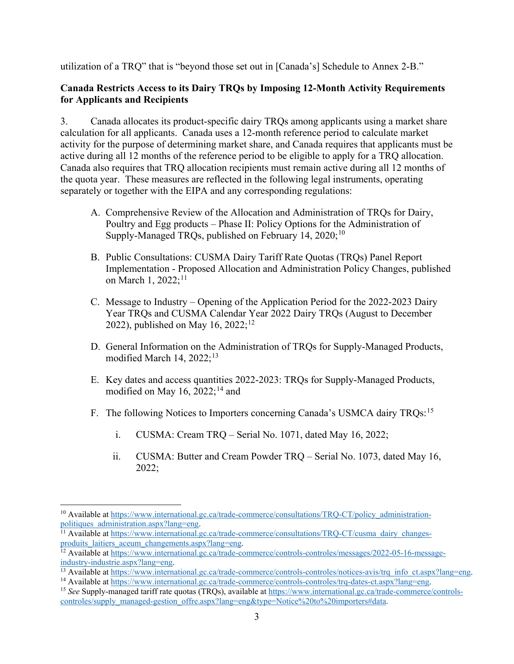utilization of a TRQ" that is "beyond those set out in [Canada's] Schedule to Annex 2-B."

## **Canada Restricts Access to its Dairy TRQs by Imposing 12-Month Activity Requirements for Applicants and Recipients**

3. Canada allocates its product-specific dairy TRQs among applicants using a market share calculation for all applicants. Canada uses a 12-month reference period to calculate market activity for the purpose of determining market share, and Canada requires that applicants must be active during all 12 months of the reference period to be eligible to apply for a TRQ allocation. Canada also requires that TRQ allocation recipients must remain active during all 12 months of the quota year. These measures are reflected in the following legal instruments, operating separately or together with the EIPA and any corresponding regulations:

- A. Comprehensive Review of the Allocation and Administration of TRQs for Dairy, Poultry and Egg products – Phase II: Policy Options for the Administration of Supply-Managed TRQs, published on February 14, 2020;<sup>[10](#page-2-0)</sup>
- B. Public Consultations: CUSMA Dairy Tariff Rate Quotas (TRQs) Panel Report Implementation - Proposed Allocation and Administration Policy Changes, published on March 1, 2022;<sup>[11](#page-2-1)</sup>
- C. Message to Industry Opening of the Application Period for the 2022-2023 Dairy Year TRQs and CUSMA Calendar Year 2022 Dairy TRQs (August to December 2022), published on May 16,  $2022;^{12}$  $2022;^{12}$  $2022;^{12}$
- D. General Information on the Administration of TRQs for Supply-Managed Products, modified March 14,  $2022$ ;<sup>[13](#page-2-3)</sup>
- E. Key dates and access quantities 2022-2023: TRQs for Supply-Managed Products, modified on May 16,  $2022$ ;<sup>[14](#page-2-4)</sup> and
- F. The following Notices to Importers concerning Canada's USMCA dairy TRQs:<sup>[15](#page-2-5)</sup>
	- i. CUSMA: Cream TRQ Serial No. 1071, dated May 16, 2022;
	- ii. CUSMA: Butter and Cream Powder TRQ Serial No. 1073, dated May 16, 2022;

<span id="page-2-0"></span><sup>&</sup>lt;sup>10</sup> Available at https://www.international.gc.ca/trade-commerce/consultations/TRQ-CT/policy\_administration-<br>politiques administration.aspx?lang=eng.

<span id="page-2-1"></span><sup>&</sup>lt;sup>11</sup> Available at https://www.international.gc.ca/trade-commerce/consultations/TRQ-CT/cusma\_dairy\_changes-<br>produits laitiers aceum changements.aspx?lang=eng.

<span id="page-2-2"></span><sup>&</sup>lt;sup>12</sup> Available at https://www.international.gc.ca/trade-commerce/controls-controles/messages/2022-05-16-message-<br>industry-industrie.aspx?lang=eng.

<span id="page-2-3"></span><sup>&</sup>lt;sup>13</sup> Available at [https://www.international.gc.ca/trade-commerce/controls-controles/notices-avis/trq\\_info\\_ct.aspx?lang=eng.](https://www.international.gc.ca/trade-commerce/controls-controles/notices-avis/trq_info_ct.aspx?lang=eng)<br><sup>14</sup> Available at https://www.international.gc.ca/trade-commerce/controls-controles/trq-dates-ct.a

<span id="page-2-4"></span>

<span id="page-2-5"></span><sup>&</sup>lt;sup>15</sup> See Supply-managed tariff rate quotas (TROs), available at [https://www.international.gc.ca/trade-commerce/controls](https://www.international.gc.ca/trade-commerce/controls-controles/supply_managed-gestion_offre.aspx?lang=eng&type=Notice%20to%20importers#data)[controles/supply\\_managed-gestion\\_offre.aspx?lang=eng&type=Notice%20to%20importers#data.](https://www.international.gc.ca/trade-commerce/controls-controles/supply_managed-gestion_offre.aspx?lang=eng&type=Notice%20to%20importers#data)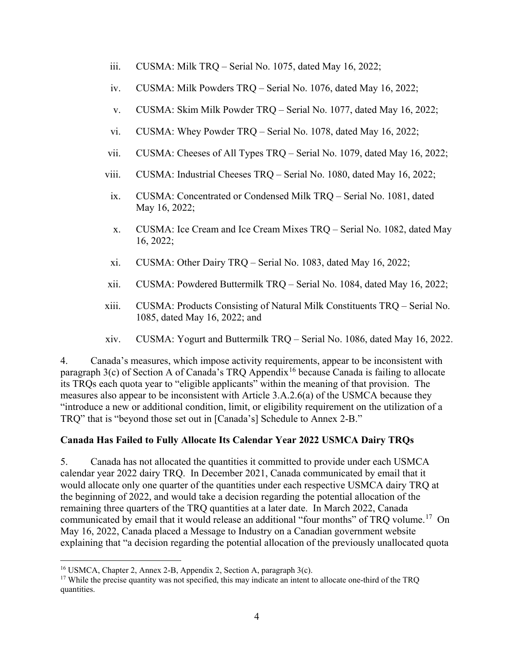- iii. CUSMA: Milk TRQ Serial No. 1075, dated May 16, 2022;
- iv. CUSMA: Milk Powders TRQ Serial No. 1076, dated May 16, 2022;
- v. CUSMA: Skim Milk Powder TRQ Serial No. 1077, dated May 16, 2022;
- vi. CUSMA: Whey Powder TRQ Serial No. 1078, dated May 16, 2022;
- vii. CUSMA: Cheeses of All Types TRQ Serial No. 1079, dated May 16, 2022;
- viii. CUSMA: Industrial Cheeses TRQ Serial No. 1080, dated May 16, 2022;
- ix. CUSMA: Concentrated or Condensed Milk TRQ Serial No. 1081, dated May 16, 2022;
- x. CUSMA: Ice Cream and Ice Cream Mixes TRQ Serial No. 1082, dated May 16, 2022;
- xi. CUSMA: Other Dairy TRQ Serial No. 1083, dated May 16, 2022;
- xii. CUSMA: Powdered Buttermilk TRQ Serial No. 1084, dated May 16, 2022;
- xiii. CUSMA: Products Consisting of Natural Milk Constituents TRQ Serial No. 1085, dated May 16, 2022; and
- xiv. CUSMA: Yogurt and Buttermilk TRQ Serial No. 1086, dated May 16, 2022.

4. Canada's measures, which impose activity requirements, appear to be inconsistent with paragraph  $3(c)$  of Section A of Canada's TRQ Appendix<sup>[16](#page-3-0)</sup> because Canada is failing to allocate its TRQs each quota year to "eligible applicants" within the meaning of that provision. The measures also appear to be inconsistent with Article 3.A.2.6(a) of the USMCA because they "introduce a new or additional condition, limit, or eligibility requirement on the utilization of a TRQ" that is "beyond those set out in [Canada's] Schedule to Annex 2-B."

## **Canada Has Failed to Fully Allocate Its Calendar Year 2022 USMCA Dairy TRQs**

5. Canada has not allocated the quantities it committed to provide under each USMCA calendar year 2022 dairy TRQ. In December 2021, Canada communicated by email that it would allocate only one quarter of the quantities under each respective USMCA dairy TRQ at the beginning of 2022, and would take a decision regarding the potential allocation of the remaining three quarters of the TRQ quantities at a later date. In March 2022, Canada communicated by email that it would release an additional "four months" of TRQ volume.<sup>[17](#page-3-1)</sup> On May 16, 2022, Canada placed a Message to Industry on a Canadian government website explaining that "a decision regarding the potential allocation of the previously unallocated quota

<span id="page-3-0"></span> <sup>16</sup> USMCA, Chapter 2, Annex 2-B, Appendix 2, Section A, paragraph 3(c).

<span id="page-3-1"></span><sup>&</sup>lt;sup>17</sup> While the precise quantity was not specified, this may indicate an intent to allocate one-third of the TRQ quantities.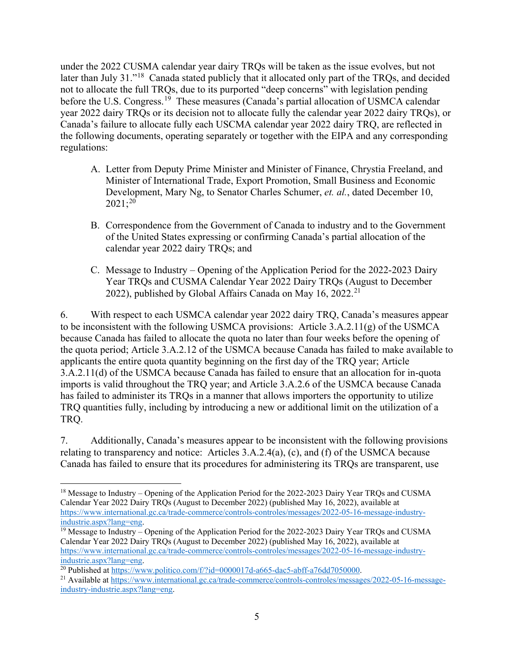under the 2022 CUSMA calendar year dairy TRQs will be taken as the issue evolves, but not later than July 31."<sup>18</sup> Canada stated publicly that it allocated only part of the TRQs, and decided not to allocate the full TRQs, due to its purported "deep concerns" with legislation pending before the U.S. Congress.<sup>19</sup> These measures (Canada's partial allocation of USMCA calendar year 2022 dairy TRQs or its decision not to allocate fully the calendar year 2022 dairy TRQs), or Canada's failure to allocate fully each USCMA calendar year 2022 dairy TRQ, are reflected in the following documents, operating separately or together with the EIPA and any corresponding regulations:

- A. Letter from Deputy Prime Minister and Minister of Finance, Chrystia Freeland, and Minister of International Trade, Export Promotion, Small Business and Economic Development, Mary Ng, to Senator Charles Schumer, *et. al.*, dated December 10, 2021; [20](#page-4-2)
- B. Correspondence from the Government of Canada to industry and to the Government of the United States expressing or confirming Canada's partial allocation of the calendar year 2022 dairy TRQs; and
- C. Message to Industry Opening of the Application Period for the 2022-2023 Dairy Year TRQs and CUSMA Calendar Year 2022 Dairy TRQs (August to December 2022), published by Global Affairs Canada on May 16, 2022.<sup>[21](#page-4-3)</sup>

6. With respect to each USMCA calendar year 2022 dairy TRQ, Canada's measures appear to be inconsistent with the following USMCA provisions: Article 3.A.2.11(g) of the USMCA because Canada has failed to allocate the quota no later than four weeks before the opening of the quota period; Article 3.A.2.12 of the USMCA because Canada has failed to make available to applicants the entire quota quantity beginning on the first day of the TRQ year; Article 3.A.2.11(d) of the USMCA because Canada has failed to ensure that an allocation for in-quota imports is valid throughout the TRQ year; and Article 3.A.2.6 of the USMCA because Canada has failed to administer its TRQs in a manner that allows importers the opportunity to utilize TRQ quantities fully, including by introducing a new or additional limit on the utilization of a TRQ.

7. Additionally, Canada's measures appear to be inconsistent with the following provisions relating to transparency and notice: Articles 3.A.2.4(a), (c), and (f) of the USMCA because Canada has failed to ensure that its procedures for administering its TRQs are transparent, use

<span id="page-4-0"></span><sup>&</sup>lt;sup>18</sup> Message to Industry – Opening of the Application Period for the 2022-2023 Dairy Year TRQs and CUSMA Calendar Year 2022 Dairy TRQs (August to December 2022) (published May 16, 2022), available at [https://www.international.gc.ca/trade-commerce/controls-controles/messages/2022-05-16-message-industry](https://www.international.gc.ca/trade-commerce/controls-controles/messages/2022-05-16-message-industry-industrie.aspx?lang=eng)[industrie.aspx?lang=eng.](https://www.international.gc.ca/trade-commerce/controls-controles/messages/2022-05-16-message-industry-industrie.aspx?lang=eng)

<span id="page-4-1"></span><sup>&</sup>lt;sup>19</sup> Message to Industry – Opening of the Application Period for the 2022-2023 Dairy Year TRQs and CUSMA Calendar Year 2022 Dairy TRQs (August to December 2022) (published May 16, 2022), available at [https://www.international.gc.ca/trade-commerce/controls-controles/messages/2022-05-16-message-industry](https://www.international.gc.ca/trade-commerce/controls-controles/messages/2022-05-16-message-industry-industrie.aspx?lang=eng)[industrie.aspx?lang=eng.](https://www.international.gc.ca/trade-commerce/controls-controles/messages/2022-05-16-message-industry-industrie.aspx?lang=eng)<br><sup>20</sup> Published at https://www.politico.com/f/?id=0000017d-a665-dac5-abff-a76dd7050000.

<span id="page-4-2"></span>

<span id="page-4-3"></span><sup>&</sup>lt;sup>21</sup> Available at [https://www.international.gc.ca/trade-commerce/controls-controles/messages/2022-05-16-message](https://www.international.gc.ca/trade-commerce/controls-controles/messages/2022-05-16-message-industry-industrie.aspx?lang=eng)[industry-industrie.aspx?lang=eng.](https://www.international.gc.ca/trade-commerce/controls-controles/messages/2022-05-16-message-industry-industrie.aspx?lang=eng)